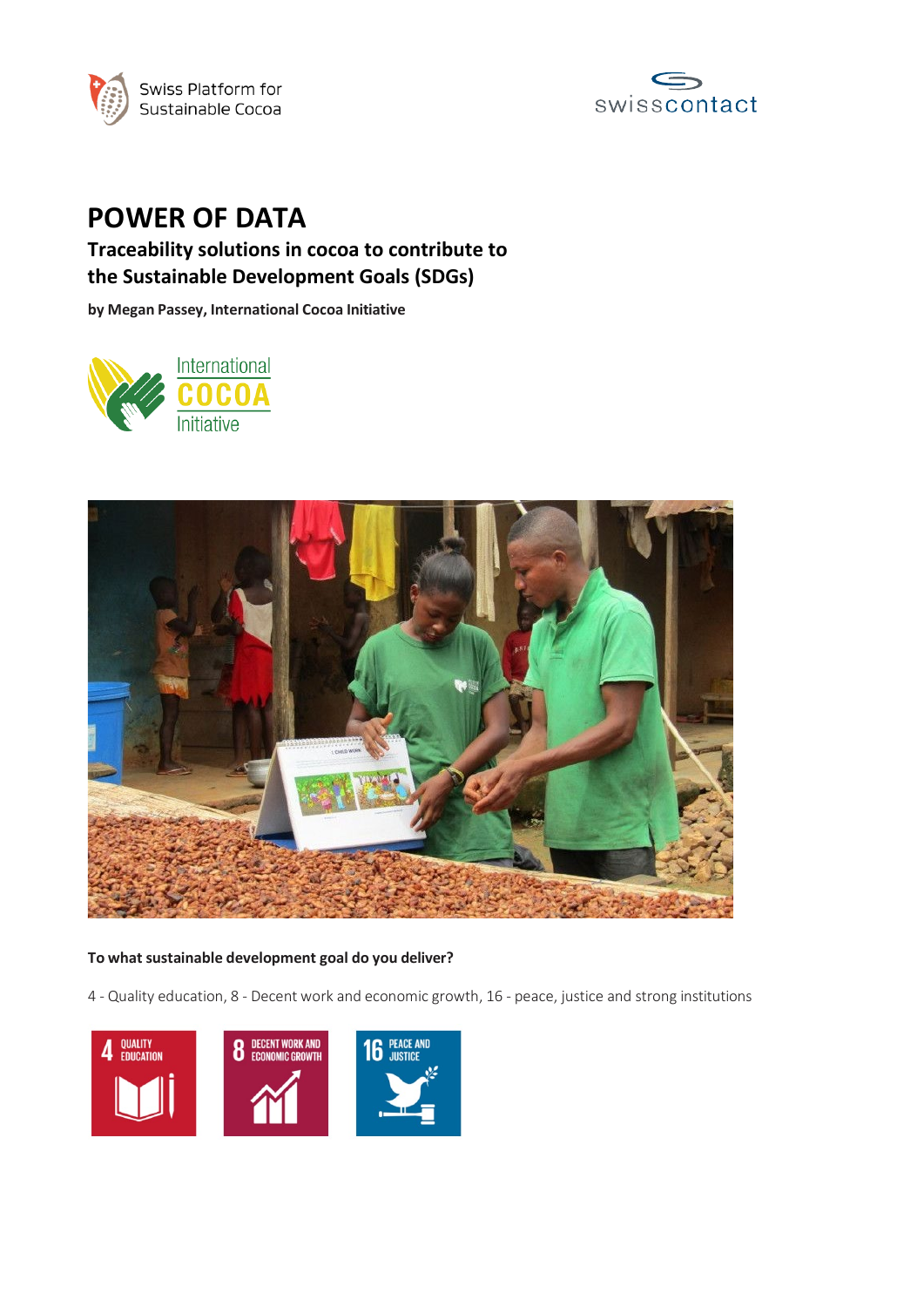



# **POWER OF DATA**

# **Traceability solutions in cocoa to contribute to the Sustainable Development Goals (SDGs)**

**by Megan Passey, International Cocoa Initiative**





# **To what sustainable development goal do you deliver?**

4 - Quality education, 8 - Decent work and economic growth, 16 - peace, justice and strong institutions